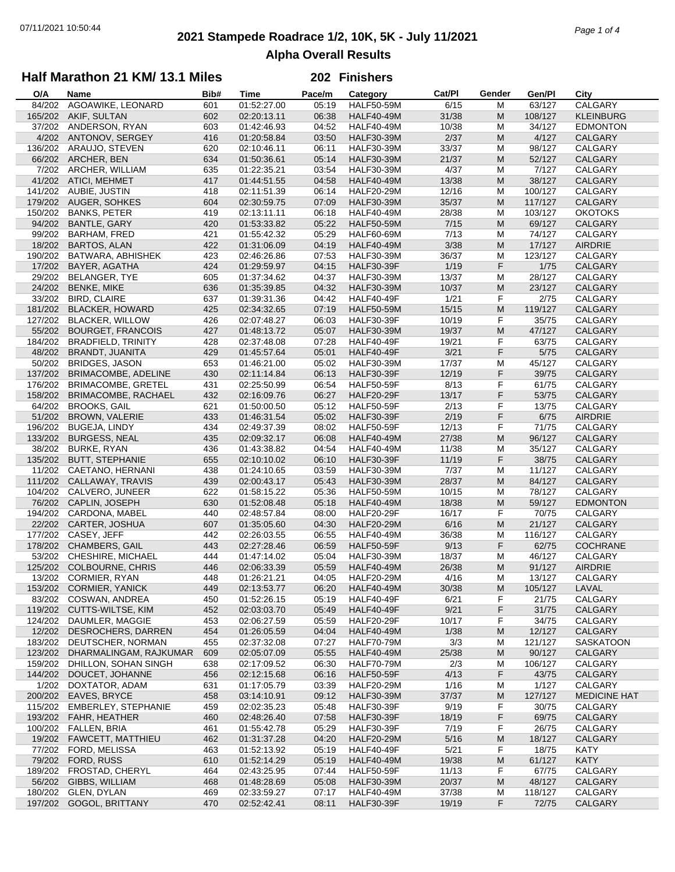# **2021 Stampede Roadrace 1/2, 10K, 5K - July 11/2021** 07/11/2021 10:50:44 *Page 1 of 4* **Alpha Overall Results**

## **Half Marathon 21 KM/ 13.1 Miles**

#### **202 Finishers**

| O/A     | Name                      | Bib# | <b>Time</b> | Pace/m | Category          | Cat/Pl | Gender    | Gen/Pl  | City                |
|---------|---------------------------|------|-------------|--------|-------------------|--------|-----------|---------|---------------------|
| 84/202  | AGOAWIKE, LEONARD         | 601  | 01:52:27.00 | 05:19  | <b>HALF50-59M</b> | 6/15   | М         | 63/127  | CALGARY             |
| 165/202 | AKIF, SULTAN              | 602  | 02:20:13.11 | 06:38  | <b>HALF40-49M</b> | 31/38  | M         | 108/127 | <b>KLEINBURG</b>    |
| 37/202  | ANDERSON, RYAN            | 603  | 01:42:46.93 | 04:52  | <b>HALF40-49M</b> | 10/38  | M         | 34/127  | <b>EDMONTON</b>     |
| 4/202   | ANTONOV, SERGEY           | 416  | 01:20:58.84 | 03:50  | <b>HALF30-39M</b> | 2/37   | M         | 4/127   | <b>CALGARY</b>      |
|         |                           |      |             |        |                   |        |           | 98/127  |                     |
| 136/202 | ARAUJO, STEVEN            | 620  | 02:10:46.11 | 06:11  | <b>HALF30-39M</b> | 33/37  | M         |         | CALGARY             |
| 66/202  | ARCHER, BEN               | 634  | 01:50:36.61 | 05:14  | <b>HALF30-39M</b> | 21/37  | M         | 52/127  | CALGARY             |
| 7/202   | ARCHER, WILLIAM           | 635  | 01:22:35.21 | 03:54  | <b>HALF30-39M</b> | 4/37   | M         | 7/127   | CALGARY             |
| 41/202  | ATICI, MEHMET             | 417  | 01:44:51.55 | 04:58  | <b>HALF40-49M</b> | 13/38  | M         | 38/127  | <b>CALGARY</b>      |
| 141/202 | AUBIE, JUSTIN             | 418  | 02:11:51.39 | 06:14  | <b>HALF20-29M</b> | 12/16  | M         | 100/127 | CALGARY             |
| 179/202 | <b>AUGER, SOHKES</b>      | 604  | 02:30:59.75 | 07:09  | <b>HALF30-39M</b> | 35/37  | M         | 117/127 | CALGARY             |
| 150/202 | <b>BANKS, PETER</b>       | 419  | 02:13:11.11 | 06:18  | <b>HALF40-49M</b> | 28/38  | M         | 103/127 | <b>OKOTOKS</b>      |
| 94/202  | BANTLE, GARY              | 420  | 01:53:33.82 | 05:22  | <b>HALF50-59M</b> | 7/15   | M         | 69/127  | CALGARY             |
| 99/202  | BARHAM, FRED              | 421  | 01:55:42.32 | 05:29  | <b>HALF60-69M</b> | 7/13   | M         | 74/127  | CALGARY             |
| 18/202  | <b>BARTOS, ALAN</b>       | 422  | 01:31:06.09 | 04:19  | <b>HALF40-49M</b> | 3/38   | M         | 17/127  | <b>AIRDRIE</b>      |
| 190/202 | BATWARA, ABHISHEK         | 423  | 02:46:26.86 | 07:53  | <b>HALF30-39M</b> | 36/37  | M         | 123/127 | CALGARY             |
| 17/202  | BAYER, AGATHA             | 424  | 01:29:59.97 | 04:15  | <b>HALF30-39F</b> | 1/19   | F         | 1/75    | CALGARY             |
| 29/202  |                           |      |             |        |                   | 13/37  |           | 28/127  |                     |
|         | BELANGER, TYE             | 605  | 01:37:34.62 | 04:37  | <b>HALF30-39M</b> |        | М         |         | CALGARY             |
| 24/202  | <b>BENKE, MIKE</b>        | 636  | 01:35:39.85 | 04:32  | <b>HALF30-39M</b> | 10/37  | ${\sf M}$ | 23/127  | CALGARY             |
| 33/202  | <b>BIRD, CLAIRE</b>       | 637  | 01:39:31.36 | 04:42  | <b>HALF40-49F</b> | 1/21   | F         | 2/75    | CALGARY             |
| 181/202 | <b>BLACKER, HOWARD</b>    | 425  | 02:34:32.65 | 07:19  | <b>HALF50-59M</b> | 15/15  | ${\sf M}$ | 119/127 | CALGARY             |
| 127/202 | <b>BLACKER, WILLOW</b>    | 426  | 02:07:48.27 | 06:03  | <b>HALF30-39F</b> | 10/19  | F         | 35/75   | CALGARY             |
| 55/202  | <b>BOURGET, FRANCOIS</b>  | 427  | 01:48:13.72 | 05:07  | <b>HALF30-39M</b> | 19/37  | M         | 47/127  | CALGARY             |
| 184/202 | <b>BRADFIELD, TRINITY</b> | 428  | 02:37:48.08 | 07:28  | <b>HALF40-49F</b> | 19/21  | F         | 63/75   | CALGARY             |
| 48/202  | <b>BRANDT, JUANITA</b>    | 429  | 01:45:57.64 | 05:01  | <b>HALF40-49F</b> | 3/21   | F         | 5/75    | CALGARY             |
| 50/202  | <b>BRIDGES, JASON</b>     | 653  | 01:46:21.00 | 05:02  | <b>HALF30-39M</b> | 17/37  | M         | 45/127  | CALGARY             |
| 137/202 | BRIMACOMBE, ADELINE       | 430  | 02:11:14.84 | 06:13  | <b>HALF30-39F</b> | 12/19  | F         | 39/75   | CALGARY             |
| 176/202 | <b>BRIMACOMBE, GRETEL</b> | 431  | 02:25:50.99 | 06:54  | <b>HALF50-59F</b> | 8/13   | F         | 61/75   | CALGARY             |
| 158/202 | BRIMACOMBE, RACHAEL       | 432  | 02:16:09.76 | 06:27  | <b>HALF20-29F</b> | 13/17  | F         | 53/75   | CALGARY             |
| 64/202  | <b>BROOKS, GAIL</b>       | 621  | 01:50:00.50 | 05:12  | <b>HALF50-59F</b> | 2/13   | F         | 13/75   | CALGARY             |
| 51/202  | <b>BROWN, VALERIE</b>     | 433  | 01:46:31.54 | 05:02  | <b>HALF30-39F</b> | 2/19   | F         | 6/75    | <b>AIRDRIE</b>      |
|         |                           |      |             |        |                   |        |           |         |                     |
| 196/202 | <b>BUGEJA, LINDY</b>      | 434  | 02:49:37.39 | 08:02  | <b>HALF50-59F</b> | 12/13  | F         | 71/75   | CALGARY             |
| 133/202 | <b>BURGESS, NEAL</b>      | 435  | 02:09:32.17 | 06:08  | <b>HALF40-49M</b> | 27/38  | ${\sf M}$ | 96/127  | CALGARY             |
| 38/202  | <b>BURKE, RYAN</b>        | 436  | 01:43:38.82 | 04:54  | <b>HALF40-49M</b> | 11/38  | M         | 35/127  | CALGARY             |
| 135/202 | <b>BUTT, STEPHANIE</b>    | 655  | 02:10:10.02 | 06:10  | <b>HALF30-39F</b> | 11/19  | F         | 38/75   | CALGARY             |
| 11/202  | CAETANO, HERNANI          | 438  | 01:24:10.65 | 03:59  | <b>HALF30-39M</b> | 7/37   | M         | 11/127  | CALGARY             |
| 111/202 | CALLAWAY, TRAVIS          | 439  | 02:00:43.17 | 05:43  | <b>HALF30-39M</b> | 28/37  | ${\sf M}$ | 84/127  | CALGARY             |
| 104/202 | CALVERO, JUNEER           | 622  | 01:58:15.22 | 05:36  | <b>HALF50-59M</b> | 10/15  | M         | 78/127  | CALGARY             |
| 76/202  | CAPLIN, JOSEPH            | 630  | 01:52:08.48 | 05:18  | <b>HALF40-49M</b> | 18/38  | M         | 59/127  | <b>EDMONTON</b>     |
| 194/202 | CARDONA, MABEL            | 440  | 02:48:57.84 | 08:00  | HALF20-29F        | 16/17  | F         | 70/75   | CALGARY             |
| 22/202  | CARTER, JOSHUA            | 607  | 01:35:05.60 | 04:30  | <b>HALF20-29M</b> | 6/16   | M         | 21/127  | CALGARY             |
| 177/202 | CASEY, JEFF               | 442  | 02:26:03.55 | 06:55  | <b>HALF40-49M</b> | 36/38  | М         | 116/127 | CALGARY             |
| 178/202 | <b>CHAMBERS, GAIL</b>     | 443  | 02:27:28.46 | 06:59  | <b>HALF50-59F</b> | 9/13   | F         | 62/75   | <b>COCHRANE</b>     |
| 53/202  | CHESHIRE, MICHAEL         | 444  | 01:47:14.02 | 05:04  | <b>HALF30-39M</b> | 18/37  | M         | 46/127  | CALGARY             |
| 125/202 | <b>COLBOURNE, CHRIS</b>   | 446  | 02:06:33.39 | 05:59  | <b>HALF40-49M</b> | 26/38  | M         | 91/127  | <b>AIRDRIE</b>      |
| 13/202  | CORMIER, RYAN             | 448  | 01:26:21.21 | 04:05  | <b>HALF20-29M</b> | 4/16   | M         | 13/127  | CALGARY             |
|         | 153/202 CORMIER, YANICK   | 449  | 02:13:53.77 | 06:20  | <b>HALF40-49M</b> | 30/38  | M         | 105/127 | LAVAL               |
|         | COSWAN, ANDREA            |      |             |        |                   |        |           |         |                     |
| 83/202  |                           | 450  | 01:52:26.15 | 05:19  | HALF40-49F        | 6/21   | F         | 21/75   | CALGARY             |
| 119/202 | CUTTS-WILTSE, KIM         | 452  | 02:03:03.70 | 05:49  | <b>HALF40-49F</b> | 9/21   | F         | 31/75   | CALGARY             |
| 124/202 | DAUMLER, MAGGIE           | 453  | 02:06:27.59 | 05:59  | <b>HALF20-29F</b> | 10/17  | F         | 34/75   | CALGARY             |
| 12/202  | DESROCHERS, DARREN        | 454  | 01:26:05.59 | 04:04  | <b>HALF40-49M</b> | 1/38   | M         | 12/127  | CALGARY             |
| 183/202 | DEUTSCHER, NORMAN         | 455  | 02:37:32.08 | 07:27  | <b>HALF70-79M</b> | 3/3    | M         | 121/127 | <b>SASKATOON</b>    |
| 123/202 | DHARMALINGAM, RAJKUMAR    | 609  | 02:05:07.09 | 05:55  | <b>HALF40-49M</b> | 25/38  | M         | 90/127  | CALGARY             |
| 159/202 | DHILLON, SOHAN SINGH      | 638  | 02:17:09.52 | 06:30  | <b>HALF70-79M</b> | 2/3    | M         | 106/127 | CALGARY             |
| 144/202 | DOUCET, JOHANNE           | 456  | 02:12:15.68 | 06:16  | <b>HALF50-59F</b> | 4/13   | F         | 43/75   | CALGARY             |
| 1/202   | DOXTATOR, ADAM            | 631  | 01:17:05.79 | 03:39  | <b>HALF20-29M</b> | 1/16   | M         | 1/127   | CALGARY             |
| 200/202 | EAVES, BRYCE              | 458  | 03:14:10.91 | 09:12  | <b>HALF30-39M</b> | 37/37  | M         | 127/127 | <b>MEDICINE HAT</b> |
| 115/202 | EMBERLEY, STEPHANIE       | 459  | 02:02:35.23 | 05:48  | <b>HALF30-39F</b> | 9/19   | F         | 30/75   | CALGARY             |
| 193/202 | FAHR, HEATHER             | 460  | 02:48:26.40 | 07:58  | <b>HALF30-39F</b> | 18/19  | F         | 69/75   | CALGARY             |
| 100/202 | FALLEN, BRIA              | 461  | 01:55:42.78 | 05:29  | HALF30-39F        | 7/19   | F         | 26/75   | CALGARY             |
| 19/202  | FAWCETT, MATTHIEU         | 462  | 01:31:37.28 | 04:20  | <b>HALF20-29M</b> | 5/16   | M         | 18/127  | CALGARY             |
| 77/202  | FORD, MELISSA             | 463  | 01:52:13.92 | 05:19  | <b>HALF40-49F</b> | 5/21   | F         | 18/75   | <b>KATY</b>         |
|         |                           |      |             |        |                   |        |           |         |                     |
| 79/202  | FORD, RUSS                | 610  | 01:52:14.29 | 05:19  | <b>HALF40-49M</b> | 19/38  | ${\sf M}$ | 61/127  | <b>KATY</b>         |
| 189/202 | FROSTAD, CHERYL           | 464  | 02:43:25.95 | 07:44  | <b>HALF50-59F</b> | 11/13  | F         | 67/75   | CALGARY             |
| 56/202  | GIBBS, WILLIAM            | 468  | 01:48:28.69 | 05:08  | <b>HALF30-39M</b> | 20/37  | M         | 48/127  | CALGARY             |
| 180/202 | GLEN, DYLAN               | 469  | 02:33:59.27 | 07:17  | <b>HALF40-49M</b> | 37/38  | M         | 118/127 | CALGARY             |
| 197/202 | GOGOL, BRITTANY           | 470  | 02:52:42.41 | 08:11  | <b>HALF30-39F</b> | 19/19  | F         | 72/75   | CALGARY             |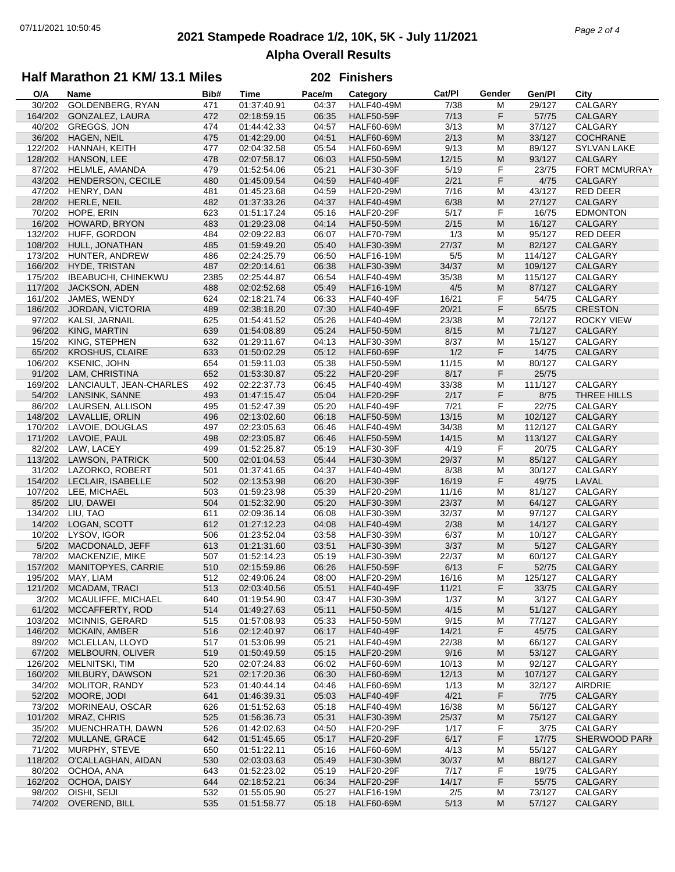# **2021 Stampede Roadrace 1/2, 10K, 5K - July 11/2021** 07/11/2021 10:50:45 *Page 2 of 4* **Alpha Overall Results**

## **Half Marathon 21 KM/ 13.1 Miles**

#### **202 Finishers**

| O/A     | Name                       | Bib# | <b>Time</b> | Pace/m | Category          | Cat/PI | Gender                                                                                                     | Gen/Pl  | City                 |
|---------|----------------------------|------|-------------|--------|-------------------|--------|------------------------------------------------------------------------------------------------------------|---------|----------------------|
| 30/202  | GOLDENBERG, RYAN           | 471  | 01:37:40.91 | 04:37  | <b>HALF40-49M</b> | 7/38   | м                                                                                                          | 29/127  | CALGARY              |
| 164/202 | GONZALEZ, LAURA            | 472  | 02:18:59.15 | 06:35  | <b>HALF50-59F</b> | 7/13   | F                                                                                                          | 57/75   | CALGARY              |
| 40/202  | <b>GREGGS, JON</b>         | 474  | 01:44:42.33 | 04:57  | <b>HALF60-69M</b> | 3/13   | M                                                                                                          | 37/127  | CALGARY              |
| 36/202  | HAGEN, NEIL                | 475  | 01:42:29.00 | 04:51  | <b>HALF60-69M</b> | 2/13   | M                                                                                                          | 33/127  | <b>COCHRANE</b>      |
| 122/202 | HANNAH, KEITH              | 477  | 02:04:32.58 | 05:54  | <b>HALF60-69M</b> | 9/13   | M                                                                                                          | 89/127  | <b>SYLVAN LAKE</b>   |
|         |                            |      |             |        |                   |        |                                                                                                            |         |                      |
| 128/202 | HANSON, LEE                | 478  | 02:07:58.17 | 06:03  | <b>HALF50-59M</b> | 12/15  | M                                                                                                          | 93/127  | <b>CALGARY</b>       |
| 87/202  | HELMLE, AMANDA             | 479  | 01:52:54.06 | 05:21  | <b>HALF30-39F</b> | 5/19   | F                                                                                                          | 23/75   | <b>FORT MCMURRAY</b> |
| 43/202  | HENDERSON, CECILE          | 480  | 01:45:09.54 | 04:59  | <b>HALF40-49F</b> | 2/21   | F                                                                                                          | 4/75    | <b>CALGARY</b>       |
| 47/202  | HENRY, DAN                 | 481  | 01:45:23.68 | 04:59  | <b>HALF20-29M</b> | 7/16   | M                                                                                                          | 43/127  | RED DEER             |
| 28/202  | HERLE, NEIL                | 482  | 01:37:33.26 | 04:37  | <b>HALF40-49M</b> | 6/38   | M                                                                                                          | 27/127  | CALGARY              |
| 70/202  | HOPE, ERIN                 | 623  | 01:51:17.24 | 05:16  | <b>HALF20-29F</b> | 5/17   | F                                                                                                          | 16/75   | <b>EDMONTON</b>      |
| 16/202  | HOWARD, BRYON              | 483  | 01:29:23.08 | 04:14  | <b>HALF50-59M</b> | 2/15   | M                                                                                                          | 16/127  | CALGARY              |
| 132/202 | HUFF, GORDON               | 484  | 02:09:22.83 | 06:07  | <b>HALF70-79M</b> | 1/3    | M                                                                                                          | 95/127  | <b>RED DEER</b>      |
| 108/202 | HULL, JONATHAN             | 485  | 01:59:49.20 | 05:40  | <b>HALF30-39M</b> | 27/37  | M                                                                                                          | 82/127  | CALGARY              |
|         |                            |      |             |        |                   |        |                                                                                                            |         |                      |
| 173/202 | HUNTER, ANDREW             | 486  | 02:24:25.79 | 06:50  | <b>HALF16-19M</b> | 5/5    | M                                                                                                          | 114/127 | CALGARY              |
| 166/202 | HYDE, TRISTAN              | 487  | 02:20:14.61 | 06:38  | <b>HALF30-39M</b> | 34/37  | M                                                                                                          | 109/127 | CALGARY              |
| 175/202 | <b>IBEABUCHI, CHINEKWU</b> | 2385 | 02:25:44.87 | 06:54  | <b>HALF40-49M</b> | 35/38  | M                                                                                                          | 115/127 | CALGARY              |
| 117/202 | JACKSON, ADEN              | 488  | 02:02:52.68 | 05:49  | <b>HALF16-19M</b> | 4/5    | M                                                                                                          | 87/127  | CALGARY              |
| 161/202 | JAMES, WENDY               | 624  | 02:18:21.74 | 06:33  | <b>HALF40-49F</b> | 16/21  | F                                                                                                          | 54/75   | CALGARY              |
| 186/202 | JORDAN, VICTORIA           | 489  | 02:38:18.20 | 07:30  | <b>HALF40-49F</b> | 20/21  | F                                                                                                          | 65/75   | <b>CRESTON</b>       |
| 97/202  | KALSI, JARNAIL             | 625  | 01:54:41.52 | 05:26  | <b>HALF40-49M</b> | 23/38  | M                                                                                                          | 72/127  | <b>ROCKY VIEW</b>    |
| 96/202  | KING, MARTIN               | 639  | 01:54:08.89 | 05:24  | <b>HALF50-59M</b> | 8/15   | M                                                                                                          | 71/127  | <b>CALGARY</b>       |
|         |                            |      |             |        | <b>HALF30-39M</b> |        |                                                                                                            |         |                      |
| 15/202  | KING, STEPHEN              | 632  | 01:29:11.67 | 04:13  |                   | 8/37   | M                                                                                                          | 15/127  | CALGARY              |
| 65/202  | <b>KROSHUS, CLAIRE</b>     | 633  | 01:50:02.29 | 05:12  | <b>HALF60-69F</b> | 1/2    | F                                                                                                          | 14/75   | CALGARY              |
| 106/202 | <b>KSENIC, JOHN</b>        | 654  | 01:59:11.03 | 05:38  | <b>HALF50-59M</b> | 11/15  | M                                                                                                          | 80/127  | CALGARY              |
| 91/202  | LAM, CHRISTINA             | 652  | 01:53:30.87 | 05:22  | <b>HALF20-29F</b> | 8/17   | F                                                                                                          | 25/75   |                      |
| 169/202 | LANCIAULT, JEAN-CHARLES    | 492  | 02:22:37.73 | 06:45  | <b>HALF40-49M</b> | 33/38  | M                                                                                                          | 111/127 | CALGARY              |
| 54/202  | LANSINK, SANNE             | 493  | 01:47:15.47 | 05:04  | <b>HALF20-29F</b> | 2/17   | F                                                                                                          | 8/75    | THREE HILLS          |
| 86/202  | LAURSEN, ALLISON           | 495  | 01:52:47.39 | 05:20  | <b>HALF40-49F</b> | 7/21   | F                                                                                                          | 22/75   | CALGARY              |
| 148/202 | LAVALLIE, ORLIN            | 496  | 02:13:02.60 | 06:18  | <b>HALF50-59M</b> | 13/15  | M                                                                                                          | 102/127 | CALGARY              |
| 170/202 | LAVOIE, DOUGLAS            | 497  | 02:23:05.63 | 06:46  | <b>HALF40-49M</b> | 34/38  | M                                                                                                          | 112/127 | CALGARY              |
| 171/202 | LAVOIE, PAUL               | 498  | 02:23:05.87 | 06:46  | <b>HALF50-59M</b> | 14/15  | M                                                                                                          | 113/127 | CALGARY              |
|         |                            |      |             |        |                   |        |                                                                                                            |         |                      |
| 82/202  | LAW, LACEY                 | 499  | 01:52:25.87 | 05:19  | <b>HALF30-39F</b> | 4/19   | F                                                                                                          | 20/75   | CALGARY              |
| 113/202 | <b>LAWSON, PATRICK</b>     | 500  | 02:01:04.53 | 05:44  | <b>HALF30-39M</b> | 29/37  | $\mathsf{M}% _{T}=\mathsf{M}_{T}\!\left( a,b\right) ,\ \mathsf{M}_{T}=\mathsf{M}_{T}$                      | 85/127  | CALGARY              |
| 31/202  | LAZORKO, ROBERT            | 501  | 01:37:41.65 | 04:37  | <b>HALF40-49M</b> | 8/38   | M                                                                                                          | 30/127  | CALGARY              |
| 154/202 | LECLAIR, ISABELLE          | 502  | 02:13:53.98 | 06:20  | <b>HALF30-39F</b> | 16/19  | F                                                                                                          | 49/75   | LAVAL                |
| 107/202 | LEE, MICHAEL               | 503  | 01:59:23.98 | 05:39  | <b>HALF20-29M</b> | 11/16  | M                                                                                                          | 81/127  | CALGARY              |
| 85/202  | LIU, DAWEI                 | 504  | 01:52:32.90 | 05:20  | <b>HALF30-39M</b> | 23/37  | M                                                                                                          | 64/127  | CALGARY              |
| 134/202 | LIU, TAO                   | 611  | 02:09:36.14 | 06:08  | <b>HALF30-39M</b> | 32/37  | M                                                                                                          | 97/127  | CALGARY              |
| 14/202  | LOGAN, SCOTT               | 612  | 01:27:12.23 | 04:08  | <b>HALF40-49M</b> | 2/38   | M                                                                                                          | 14/127  | <b>CALGARY</b>       |
| 10/202  | LYSOV, IGOR                | 506  | 01:23:52.04 | 03:58  | <b>HALF30-39M</b> | 6/37   | M                                                                                                          | 10/127  | CALGARY              |
| 5/202   | MACDONALD, JEFF            | 613  | 01:21:31.60 | 03:51  | <b>HALF30-39M</b> | 3/37   | M                                                                                                          | 5/127   | CALGARY              |
| 78/202  |                            | 507  |             |        |                   |        |                                                                                                            |         |                      |
|         | MACKENZIE, MIKE            |      | 01:52:14.23 | 05:19  | <b>HALF30-39M</b> | 22/37  | M                                                                                                          | 60/127  | CALGARY              |
| 157/202 | MANITOPYES, CARRIE         | 510  | 02:15:59.86 | 06:26  | <b>HALF50-59F</b> | 6/13   | F                                                                                                          | 52/75   | CALGARY              |
|         | 195/202 MAY, LIAM          | 512  | 02:49:06.24 | 08:00  | <b>HALF20-29M</b> | 16/16  | M                                                                                                          | 125/127 | CALGARY              |
| 121/202 | MCADAM, TRACI              | 513  | 02:03:40.56 | 05:51  | HALF40-49F        | 11/21  | F                                                                                                          | 33/75   | CALGARY              |
| 3/202   | MCAULIFFE, MICHAEL         | 640  | 01:19:54.90 | 03:47  | <b>HALF30-39M</b> | 1/37   | M                                                                                                          | 3/127   | CALGARY              |
| 61/202  | MCCAFFERTY, ROD            | 514  | 01:49:27.63 | 05:11  | <b>HALF50-59M</b> | 4/15   | M                                                                                                          | 51/127  | <b>CALGARY</b>       |
| 103/202 | <b>MCINNIS, GERARD</b>     | 515  | 01:57:08.93 | 05:33  | <b>HALF50-59M</b> | 9/15   | M                                                                                                          | 77/127  | CALGARY              |
| 146/202 | <b>MCKAIN, AMBER</b>       | 516  | 02:12:40.97 | 06:17  | <b>HALF40-49F</b> | 14/21  | F                                                                                                          | 45/75   | <b>CALGARY</b>       |
| 89/202  | MCLELLAN, LLOYD            | 517  | 01:53:06.99 | 05:21  | <b>HALF40-49M</b> | 22/38  | M                                                                                                          | 66/127  | CALGARY              |
| 67/202  | MELBOURN, OLIVER           | 519  | 01:50:49.59 | 05:15  | <b>HALF20-29M</b> | 9/16   | M                                                                                                          | 53/127  | CALGARY              |
|         | <b>MELNITSKI, TIM</b>      |      |             |        |                   |        |                                                                                                            |         | CALGARY              |
| 126/202 |                            | 520  | 02:07:24.83 | 06:02  | <b>HALF60-69M</b> | 10/13  | M                                                                                                          | 92/127  |                      |
| 160/202 | MILBURY, DAWSON            | 521  | 02:17:20.36 | 06:30  | <b>HALF60-69M</b> | 12/13  | M                                                                                                          | 107/127 | <b>CALGARY</b>       |
| 34/202  | MOLITOR, RANDY             | 523  | 01:40:44.14 | 04:46  | <b>HALF60-69M</b> | 1/13   | M                                                                                                          | 32/127  | <b>AIRDRIE</b>       |
| 52/202  | MOORE, JODI                | 641  | 01:46:39.31 | 05:03  | <b>HALF40-49F</b> | 4/21   | F                                                                                                          | $7/75$  | CALGARY              |
| 73/202  | MORINEAU, OSCAR            | 626  | 01:51:52.63 | 05:18  | <b>HALF40-49M</b> | 16/38  | м                                                                                                          | 56/127  | CALGARY              |
| 101/202 | MRAZ, CHRIS                | 525  | 01:56:36.73 | 05:31  | <b>HALF30-39M</b> | 25/37  | M                                                                                                          | 75/127  | <b>CALGARY</b>       |
| 35/202  | MUENCHRATH, DAWN           | 526  | 01:42:02.63 | 04:50  | <b>HALF20-29F</b> | 1/17   | F                                                                                                          | 3/75    | CALGARY              |
| 72/202  | MULLANE, GRACE             | 642  | 01:51:45.65 | 05:17  | <b>HALF20-29F</b> | 6/17   | F                                                                                                          | 17/75   | SHERWOOD PARI        |
| 71/202  | MURPHY, STEVE              | 650  | 01:51:22.11 | 05:16  | <b>HALF60-69M</b> | 4/13   | M                                                                                                          | 55/127  | CALGARY              |
| 118/202 | O'CALLAGHAN, AIDAN         | 530  | 02:03:03.63 | 05:49  | <b>HALF30-39M</b> | 30/37  | M                                                                                                          | 88/127  | <b>CALGARY</b>       |
| 80/202  | OCHOA, ANA                 |      | 01:52:23.02 | 05:19  | <b>HALF20-29F</b> | 7/17   |                                                                                                            | 19/75   | CALGARY              |
|         |                            | 643  |             |        |                   |        | F                                                                                                          |         |                      |
| 162/202 | OCHOA, DAISY               | 644  | 02:18:52.21 | 06:34  | <b>HALF20-29F</b> | 14/17  | F                                                                                                          | 55/75   | <b>CALGARY</b>       |
| 98/202  | OISHI, SEIJI               | 532  | 01:55:05.90 | 05:27  | <b>HALF16-19M</b> | 2/5    | M                                                                                                          | 73/127  | CALGARY              |
| 74/202  | OVEREND, BILL              | 535  | 01:51:58.77 | 05:18  | <b>HALF60-69M</b> | 5/13   | $\mathsf{M}% _{T}=\mathsf{M}_{T}\!\left( a,b\right) ,\ \mathsf{M}_{T}=\mathsf{M}_{T}\!\left( a,b\right) ,$ | 57/127  | CALGARY              |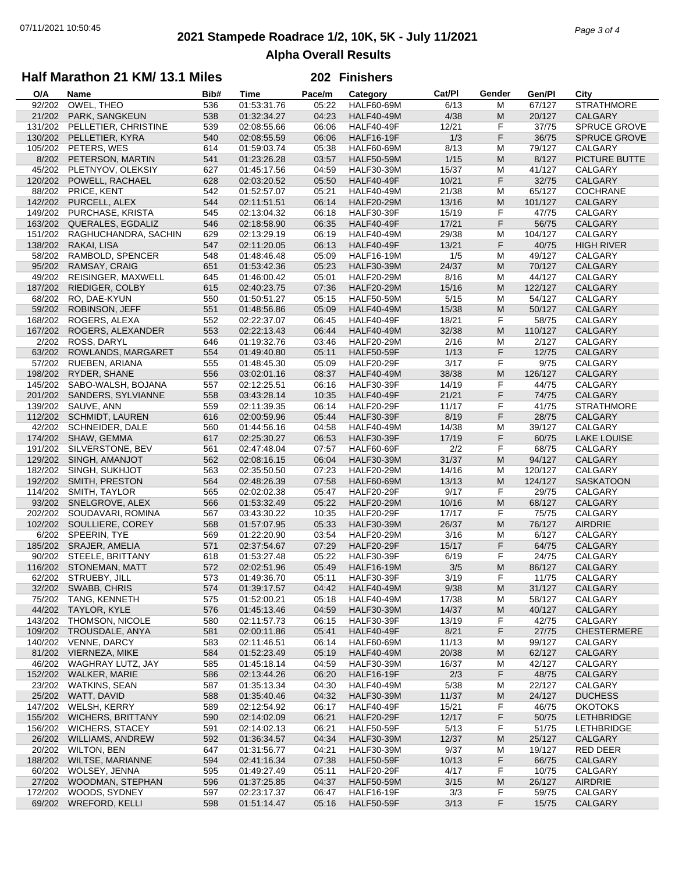# **2021 Stampede Roadrace 1/2, 10K, 5K - July 11/2021** 07/11/2021 10:50:45 *Page 3 of 4* **Alpha Overall Results**

## **Half Marathon 21 KM/ 13.1 Miles**

#### **202 Finishers**

| O/A     | Name                     | Bib# | <b>Time</b> | Pace/m | Category          | Cat/PI | Gender    | Gen/Pl  | City                |
|---------|--------------------------|------|-------------|--------|-------------------|--------|-----------|---------|---------------------|
| 92/202  | OWEL, THEO               | 536  | 01:53:31.76 | 05:22  | <b>HALF60-69M</b> | 6/13   | M         | 67/127  | <b>STRATHMORE</b>   |
| 21/202  | PARK, SANGKEUN           | 538  | 01:32:34.27 | 04:23  | <b>HALF40-49M</b> | 4/38   | M         | 20/127  | <b>CALGARY</b>      |
| 131/202 | PELLETIER, CHRISTINE     | 539  | 02:08:55.66 | 06:06  | <b>HALF40-49F</b> | 12/21  | F         | 37/75   | SPRUCE GROVE        |
| 130/202 | PELLETIER, KYRA          | 540  | 02:08:55.59 | 06:06  | <b>HALF16-19F</b> | 1/3    | F         | 36/75   | <b>SPRUCE GROVE</b> |
|         |                          |      |             |        |                   |        |           | 79/127  |                     |
| 105/202 | PETERS, WES              | 614  | 01:59:03.74 | 05:38  | <b>HALF60-69M</b> | 8/13   | M         |         | CALGARY             |
| 8/202   | PETERSON, MARTIN         | 541  | 01:23:26.28 | 03:57  | <b>HALF50-59M</b> | 1/15   | M         | 8/127   | PICTURE BUTTE       |
| 45/202  | PLETNYOV, OLEKSIY        | 627  | 01:45:17.56 | 04:59  | <b>HALF30-39M</b> | 15/37  | M         | 41/127  | CALGARY             |
| 120/202 | POWELL, RACHAEL          | 628  | 02:03:20.52 | 05:50  | <b>HALF40-49F</b> | 10/21  | F         | 32/75   | <b>CALGARY</b>      |
| 88/202  | PRICE, KENT              | 542  | 01:52:57.07 | 05:21  | <b>HALF40-49M</b> | 21/38  | M         | 65/127  | <b>COCHRANE</b>     |
| 142/202 | PURCELL, ALEX            | 544  | 02:11:51.51 | 06:14  | <b>HALF20-29M</b> | 13/16  | M         | 101/127 | CALGARY             |
| 149/202 | PURCHASE, KRISTA         | 545  | 02:13:04.32 | 06:18  | <b>HALF30-39F</b> | 15/19  | F         | 47/75   | CALGARY             |
| 163/202 | QUERALES, EGDALIZ        | 546  | 02:18:58.90 | 06:35  | <b>HALF40-49F</b> | 17/21  | F         | 56/75   | CALGARY             |
| 151/202 | RAGHUCHANDRA, SACHIN     | 629  | 02:13:29.19 | 06:19  | <b>HALF40-49M</b> | 29/38  | M         | 104/127 | CALGARY             |
| 138/202 | RAKAI, LISA              | 547  | 02:11:20.05 | 06:13  | <b>HALF40-49F</b> | 13/21  | F         | 40/75   | <b>HIGH RIVER</b>   |
| 58/202  | RAMBOLD, SPENCER         | 548  | 01:48:46.48 | 05:09  | <b>HALF16-19M</b> | 1/5    | M         | 49/127  | CALGARY             |
| 95/202  | RAMSAY, CRAIG            | 651  | 01:53:42.36 | 05:23  | <b>HALF30-39M</b> | 24/37  | M         | 70/127  | <b>CALGARY</b>      |
| 49/202  |                          |      | 01:46:00.42 |        |                   |        | M         |         |                     |
|         | REISINGER, MAXWELL       | 645  |             | 05:01  | <b>HALF20-29M</b> | 8/16   |           | 44/127  | CALGARY             |
| 187/202 | RIEDIGER, COLBY          | 615  | 02:40:23.75 | 07:36  | <b>HALF20-29M</b> | 15/16  | M         | 122/127 | CALGARY             |
| 68/202  | RO, DAE-KYUN             | 550  | 01:50:51.27 | 05:15  | <b>HALF50-59M</b> | 5/15   | M         | 54/127  | CALGARY             |
| 59/202  | <b>ROBINSON, JEFF</b>    | 551  | 01:48:56.86 | 05:09  | <b>HALF40-49M</b> | 15/38  | M         | 50/127  | CALGARY             |
| 168/202 | ROGERS, ALEXA            | 552  | 02:22:37.07 | 06:45  | <b>HALF40-49F</b> | 18/21  | F         | 58/75   | CALGARY             |
| 167/202 | ROGERS, ALEXANDER        | 553  | 02:22:13.43 | 06:44  | <b>HALF40-49M</b> | 32/38  | M         | 110/127 | CALGARY             |
| 2/202   | ROSS, DARYL              | 646  | 01:19:32.76 | 03:46  | <b>HALF20-29M</b> | 2/16   | M         | 2/127   | CALGARY             |
| 63/202  | ROWLANDS, MARGARET       | 554  | 01:49:40.80 | 05:11  | <b>HALF50-59F</b> | 1/13   | F         | 12/75   | CALGARY             |
| 57/202  | RUEBEN, ARIANA           | 555  | 01:48:45.30 | 05:09  | <b>HALF20-29F</b> | 3/17   | F         | 9/75    | CALGARY             |
| 198/202 | RYDER, SHANE             | 556  | 03:02:01.16 | 08:37  | <b>HALF40-49M</b> | 38/38  | ${\sf M}$ | 126/127 | CALGARY             |
| 145/202 | SABO-WALSH, BOJANA       | 557  | 02:12:25.51 | 06:16  | <b>HALF30-39F</b> | 14/19  | F         | 44/75   | CALGARY             |
| 201/202 | SANDERS, SYLVIANNE       | 558  | 03:43:28.14 | 10:35  | <b>HALF40-49F</b> | 21/21  | F         | 74/75   | CALGARY             |
| 139/202 | SAUVE, ANN               | 559  | 02:11:39.35 | 06:14  | <b>HALF20-29F</b> | 11/17  | F         | 41/75   | <b>STRATHMORE</b>   |
| 112/202 | <b>SCHMIDT, LAUREN</b>   | 616  | 02:00:59.96 | 05:44  | <b>HALF30-39F</b> | 8/19   | F         | 28/75   | <b>CALGARY</b>      |
|         |                          |      | 01:44:56.16 |        |                   |        |           |         |                     |
| 42/202  | <b>SCHNEIDER, DALE</b>   | 560  |             | 04:58  | <b>HALF40-49M</b> | 14/38  | М         | 39/127  | CALGARY             |
| 174/202 | SHAW, GEMMA              | 617  | 02:25:30.27 | 06:53  | <b>HALF30-39F</b> | 17/19  | F         | 60/75   | <b>LAKE LOUISE</b>  |
| 191/202 | SILVERSTONE, BEV         | 561  | 02:47:48.04 | 07:57  | HALF60-69F        | 2/2    | F         | 68/75   | CALGARY             |
| 129/202 | SINGH, AMANJOT           | 562  | 02:08:16.15 | 06:04  | <b>HALF30-39M</b> | 31/37  | ${\sf M}$ | 94/127  | CALGARY             |
| 182/202 | SINGH, SUKHJOT           | 563  | 02:35:50.50 | 07:23  | <b>HALF20-29M</b> | 14/16  | M         | 120/127 | CALGARY             |
| 192/202 | SMITH, PRESTON           | 564  | 02:48:26.39 | 07:58  | <b>HALF60-69M</b> | 13/13  | M         | 124/127 | <b>SASKATOON</b>    |
| 114/202 | SMITH, TAYLOR            | 565  | 02:02:02.38 | 05:47  | <b>HALF20-29F</b> | 9/17   | F         | 29/75   | CALGARY             |
|         | 93/202 SNELGROVE, ALEX   | 566  | 01:53:32.49 | 05:22  | <b>HALF20-29M</b> | 10/16  | M         | 68/127  | <b>CALGARY</b>      |
| 202/202 | SOUDAVARI, ROMINA        | 567  | 03:43:30.22 | 10:35  | HALF20-29F        | 17/17  | F         | 75/75   | CALGARY             |
| 102/202 | SOULLIERE, COREY         | 568  | 01:57:07.95 | 05:33  | <b>HALF30-39M</b> | 26/37  | M         | 76/127  | AIRDRIE             |
| 6/202   | SPEERIN, TYE             | 569  | 01:22:20.90 | 03:54  | <b>HALF20-29M</b> | 3/16   | М         | 6/127   | CALGARY             |
| 185/202 | SRAJER, AMELIA           | 571  | 02:37:54.67 | 07:29  | <b>HALF20-29F</b> | 15/17  | F         | 64/75   | CALGARY             |
| 90/202  | STEELE, BRITTANY         | 618  | 01:53:27.48 | 05:22  | <b>HALF30-39F</b> | 6/19   | F         | 24/75   | CALGARY             |
| 116/202 | STONEMAN, MATT           | 572  | 02:02:51.96 | 05:49  | <b>HALF16-19M</b> | 3/5    | M         | 86/127  | CALGARY             |
|         | 62/202 STRUEBY, JILL     | 573  | 01:49:36.70 | 05:11  | <b>HALF30-39F</b> | 3/19   | F         | 11/75   | CALGARY             |
|         | 32/202 SWABB, CHRIS      |      |             |        |                   |        |           |         |                     |
|         |                          | 574  | 01:39:17.57 | 04:42  | <b>HALF40-49M</b> | 9/38   | M         | 31/127  | CALGARY             |
| 75/202  | TANG, KENNETH            | 575  | 01:52:00.21 | 05:18  | <b>HALF40-49M</b> | 17/38  | M         | 58/127  | CALGARY             |
| 44/202  | TAYLOR, KYLE             | 576  | 01:45:13.46 | 04:59  | <b>HALF30-39M</b> | 14/37  | M         | 40/127  | CALGARY             |
| 143/202 | THOMSON, NICOLE          | 580  | 02:11:57.73 | 06:15  | HALF30-39F        | 13/19  | F         | 42/75   | CALGARY             |
| 109/202 | TROUSDALE, ANYA          | 581  | 02:00:11.86 | 05:41  | HALF40-49F        | 8/21   | F         | 27/75   | <b>CHESTERMERE</b>  |
| 140/202 | VENNE, DARCY             | 583  | 02:11:46.51 | 06:14  | <b>HALF60-69M</b> | 11/13  | M         | 99/127  | CALGARY             |
| 81/202  | VIERNEZA, MIKE           | 584  | 01:52:23.49 | 05:19  | <b>HALF40-49M</b> | 20/38  | M         | 62/127  | CALGARY             |
| 46/202  | WAGHRAY LUTZ, JAY        | 585  | 01:45:18.14 | 04:59  | <b>HALF30-39M</b> | 16/37  | M         | 42/127  | CALGARY             |
| 152/202 | <b>WALKER, MARIE</b>     | 586  | 02:13:44.26 | 06:20  | <b>HALF16-19F</b> | 2/3    | F         | 48/75   | CALGARY             |
| 23/202  | <b>WATKINS, SEAN</b>     | 587  | 01:35:13.34 | 04:30  | <b>HALF40-49M</b> | 5/38   | M         | 22/127  | CALGARY             |
| 25/202  | WATT, DAVID              | 588  | 01:35:40.46 | 04:32  | <b>HALF30-39M</b> | 11/37  | M         | 24/127  | <b>DUCHESS</b>      |
| 147/202 | WELSH, KERRY             | 589  | 02:12:54.92 | 06:17  | HALF40-49F        | 15/21  | F         | 46/75   | <b>OKOTOKS</b>      |
| 155/202 | <b>WICHERS, BRITTANY</b> | 590  | 02:14:02.09 | 06:21  | HALF20-29F        | 12/17  | F         | 50/75   | <b>LETHBRIDGE</b>   |
|         |                          |      |             |        |                   |        |           |         |                     |
| 156/202 | <b>WICHERS, STACEY</b>   | 591  | 02:14:02.13 | 06:21  | <b>HALF50-59F</b> | 5/13   | F         | 51/75   | <b>LETHBRIDGE</b>   |
| 26/202  | <b>WILLIAMS, ANDREW</b>  | 592  | 01:36:34.57 | 04:34  | <b>HALF30-39M</b> | 12/37  | M         | 25/127  | CALGARY             |
| 20/202  | <b>WILTON, BEN</b>       | 647  | 01:31:56.77 | 04:21  | <b>HALF30-39M</b> | 9/37   | M         | 19/127  | RED DEER            |
| 188/202 | WILTSE, MARIANNE         | 594  | 02:41:16.34 | 07:38  | <b>HALF50-59F</b> | 10/13  | F         | 66/75   | CALGARY             |
| 60/202  | WOLSEY, JENNA            | 595  | 01:49:27.49 | 05:11  | HALF20-29F        | 4/17   | F         | 10/75   | CALGARY             |
| 27/202  | WOODMAN, STEPHAN         | 596  | 01:37:25.85 | 04:37  | <b>HALF50-59M</b> | 3/15   | ${\sf M}$ | 26/127  | AIRDRIE             |
| 172/202 | WOODS, SYDNEY            | 597  | 02:23:17.37 | 06:47  | HALF16-19F        | 3/3    | F         | 59/75   | CALGARY             |
| 69/202  | WREFORD, KELLI           | 598  | 01:51:14.47 | 05:16  | <b>HALF50-59F</b> | 3/13   | F         | 15/75   | CALGARY             |